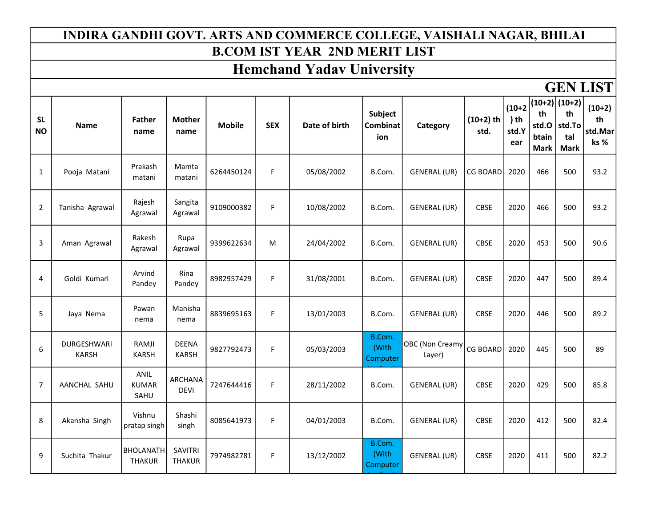#### INDIRA GANDHI GOVT. ARTS AND COMMERCE COLLEGE, VAISHALI NAGAR, BHILAI B.COM IST YEAR 2ND MERIT LIST

# Hemchand Yadav University

### GEN LIST

| <b>SL</b><br><b>NO</b> | <b>Name</b>                 | <b>Father</b><br>name             | <b>Mother</b><br>name         | <b>Mobile</b> | <b>SEX</b> | Date of birth | Subject<br><b>Combinat</b><br>ion | Category                         | $(10+2)$ th<br>std. | $(10+2)$<br>$)$ th<br>std.Y<br>ear | th<br>std.O<br>btain<br><b>Mark</b> | $(10+2)$ (10+2)<br>th<br>std.To<br>tal<br><b>Mark</b> | $(10+2)$<br>th<br>std.Mar<br>ks % |
|------------------------|-----------------------------|-----------------------------------|-------------------------------|---------------|------------|---------------|-----------------------------------|----------------------------------|---------------------|------------------------------------|-------------------------------------|-------------------------------------------------------|-----------------------------------|
| $\mathbf{1}$           | Pooja Matani                | Prakash<br>matani                 | Mamta<br>matani               | 6264450124    | F.         | 05/08/2002    | B.Com.                            | GENERAL (UR)                     | <b>CG BOARD</b>     | 2020                               | 466                                 | 500                                                   | 93.2                              |
| $\overline{2}$         | Tanisha Agrawal             | Rajesh<br>Agrawal                 | Sangita<br>Agrawal            | 9109000382    | F.         | 10/08/2002    | B.Com.                            | <b>GENERAL (UR)</b>              | <b>CBSE</b>         | 2020                               | 466                                 | 500                                                   | 93.2                              |
| 3                      | Aman Agrawal                | Rakesh<br>Agrawal                 | Rupa<br>Agrawal               | 9399622634    | M          | 24/04/2002    | B.Com.                            | GENERAL (UR)                     | <b>CBSE</b>         | 2020                               | 453                                 | 500                                                   | 90.6                              |
| 4                      | Goldi Kumari                | Arvind<br>Pandey                  | Rina<br>Pandey                | 8982957429    | F.         | 31/08/2001    | B.Com.                            | <b>GENERAL (UR)</b>              | <b>CBSE</b>         | 2020                               | 447                                 | 500                                                   | 89.4                              |
| 5                      | Jaya Nema                   | Pawan<br>nema                     | Manisha<br>nema               | 8839695163    | F.         | 13/01/2003    | B.Com.                            | GENERAL (UR)                     | <b>CBSE</b>         | 2020                               | 446                                 | 500                                                   | 89.2                              |
| 6                      | DURGESHWARI<br><b>KARSH</b> | RAMJI<br><b>KARSH</b>             | <b>DEENA</b><br><b>KARSH</b>  | 9827792473    | F.         | 05/03/2003    | B.Com.<br>(With<br>Computer       | <b>OBC</b> (Non Creamy<br>Layer) | <b>CG BOARD</b>     | 2020                               | 445                                 | 500                                                   | 89                                |
| $\overline{7}$         | AANCHAL SAHU                | ANIL<br><b>KUMAR</b><br>SAHU      | <b>ARCHANA</b><br><b>DEVI</b> | 7247644416    | F.         | 28/11/2002    | B.Com.                            | GENERAL (UR)                     | <b>CBSE</b>         | 2020                               | 429                                 | 500                                                   | 85.8                              |
| 8                      | Akansha Singh               | Vishnu<br>pratap singh            | Shashi<br>singh               | 8085641973    | F.         | 04/01/2003    | B.Com.                            | <b>GENERAL (UR)</b>              | <b>CBSE</b>         | 2020                               | 412                                 | 500                                                   | 82.4                              |
| 9                      | Suchita Thakur              | <b>BHOLANATH</b><br><b>THAKUR</b> | SAVITRI<br><b>THAKUR</b>      | 7974982781    | F.         | 13/12/2002    | B.Com.<br>(With<br>Computer       | <b>GENERAL (UR)</b>              | <b>CBSE</b>         | 2020                               | 411                                 | 500                                                   | 82.2                              |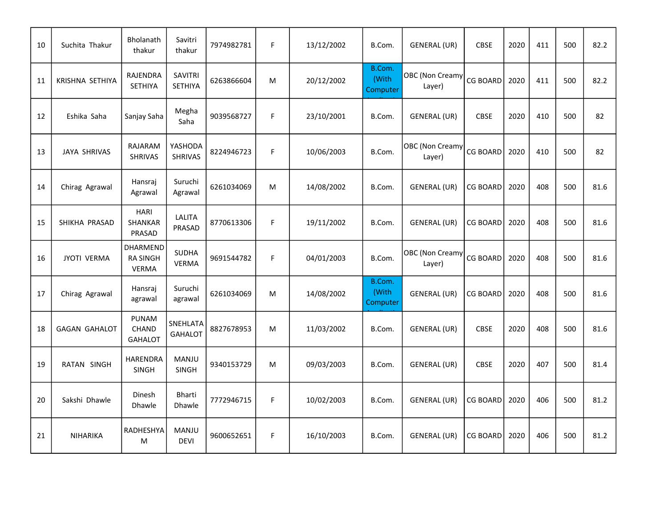| 10 | Suchita Thakur       | <b>Bholanath</b><br>thakur                  | Savitri<br>thakur                | 7974982781 | F. | 13/12/2002 | B.Com.                      | GENERAL (UR)                     | <b>CBSE</b>     | 2020 | 411 | 500 | 82.2 |
|----|----------------------|---------------------------------------------|----------------------------------|------------|----|------------|-----------------------------|----------------------------------|-----------------|------|-----|-----|------|
| 11 | KRISHNA SETHIYA      | <b>RAJENDRA</b><br>SETHIYA                  | <b>SAVITRI</b><br><b>SETHIYA</b> | 6263866604 | M  | 20/12/2002 | B.Com.<br>(With<br>Computer | <b>OBC</b> (Non Creamy<br>Layer) | <b>CG BOARD</b> | 2020 | 411 | 500 | 82.2 |
| 12 | Eshika Saha          | Sanjay Saha                                 | Megha<br>Saha                    | 9039568727 | F. | 23/10/2001 | B.Com.                      | <b>GENERAL (UR)</b>              | <b>CBSE</b>     | 2020 | 410 | 500 | 82   |
| 13 | <b>JAYA SHRIVAS</b>  | RAJARAM<br><b>SHRIVAS</b>                   | YASHODA<br><b>SHRIVAS</b>        | 8224946723 | F. | 10/06/2003 | B.Com.                      | <b>OBC</b> (Non Creamy<br>Layer) | CG BOARD        | 2020 | 410 | 500 | 82   |
| 14 | Chirag Agrawal       | Hansraj<br>Agrawal                          | Suruchi<br>Agrawal               | 6261034069 | M  | 14/08/2002 | B.Com.                      | <b>GENERAL (UR)</b>              | <b>CG BOARD</b> | 2020 | 408 | 500 | 81.6 |
| 15 | SHIKHA PRASAD        | <b>HARI</b><br><b>SHANKAR</b><br>PRASAD     | LALITA<br>PRASAD                 | 8770613306 | F. | 19/11/2002 | B.Com.                      | GENERAL (UR)                     | <b>CG BOARD</b> | 2020 | 408 | 500 | 81.6 |
| 16 | <b>JYOTI VERMA</b>   | DHARMEND<br><b>RA SINGH</b><br><b>VERMA</b> | <b>SUDHA</b><br><b>VERMA</b>     | 9691544782 | F. | 04/01/2003 | B.Com.                      | <b>OBC</b> (Non Creamy<br>Layer) | <b>CG BOARD</b> | 2020 | 408 | 500 | 81.6 |
| 17 | Chirag Agrawal       | Hansraj<br>agrawal                          | Suruchi<br>agrawal               | 6261034069 | M  | 14/08/2002 | B.Com.<br>(With<br>Computer | <b>GENERAL (UR)</b>              | <b>CG BOARD</b> | 2020 | 408 | 500 | 81.6 |
| 18 | <b>GAGAN GAHALOT</b> | <b>PUNAM</b><br>CHAND<br><b>GAHALOT</b>     | SNEHLATA<br><b>GAHALOT</b>       | 8827678953 | M  | 11/03/2002 | B.Com.                      | GENERAL (UR)                     | <b>CBSE</b>     | 2020 | 408 | 500 | 81.6 |
| 19 | RATAN SINGH          | HARENDRA<br><b>SINGH</b>                    | <b>MANJU</b><br><b>SINGH</b>     | 9340153729 | M  | 09/03/2003 | B.Com.                      | GENERAL (UR)                     | <b>CBSE</b>     | 2020 | 407 | 500 | 81.4 |
| 20 | Sakshi Dhawle        | Dinesh<br>Dhawle                            | <b>Bharti</b><br>Dhawle          | 7772946715 | F. | 10/02/2003 | B.Com.                      | <b>GENERAL (UR)</b>              | CG BOARD        | 2020 | 406 | 500 | 81.2 |
| 21 | NIHARIKA             | RADHESHYA<br>М                              | MANJU<br><b>DEVI</b>             | 9600652651 | F. | 16/10/2003 | B.Com.                      | <b>GENERAL (UR)</b>              | <b>CG BOARD</b> | 2020 | 406 | 500 | 81.2 |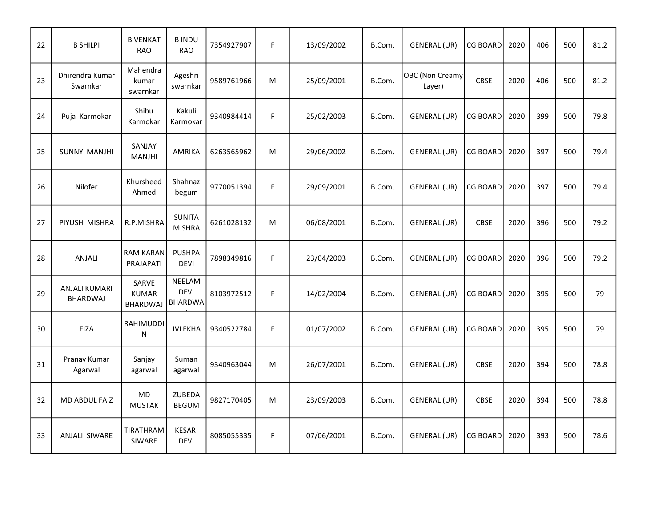| 22 | <b>B SHILPI</b>                         | <b>B VENKAT</b><br><b>RAO</b>                   | <b>BINDU</b><br><b>RAO</b>                     | 7354927907 | F. | 13/09/2002 | B.Com. | <b>GENERAL (UR)</b>       | <b>CG BOARD</b> | 2020 | 406 | 500 | 81.2 |
|----|-----------------------------------------|-------------------------------------------------|------------------------------------------------|------------|----|------------|--------|---------------------------|-----------------|------|-----|-----|------|
| 23 | Dhirendra Kumar<br>Swarnkar             | Mahendra<br>kumar<br>swarnkar                   | Ageshri<br>swarnkar                            | 9589761966 | M  | 25/09/2001 | B.Com. | OBC (Non Creamy<br>Layer) | <b>CBSE</b>     | 2020 | 406 | 500 | 81.2 |
| 24 | Puja Karmokar                           | Shibu<br>Karmokar                               | Kakuli<br>Karmokar                             | 9340984414 | F. | 25/02/2003 | B.Com. | <b>GENERAL (UR)</b>       | <b>CG BOARD</b> | 2020 | 399 | 500 | 79.8 |
| 25 | <b>SUNNY MANJHI</b>                     | SANJAY<br><b>MANJHI</b>                         | AMRIKA                                         | 6263565962 | M  | 29/06/2002 | B.Com. | <b>GENERAL (UR)</b>       | <b>CG BOARD</b> | 2020 | 397 | 500 | 79.4 |
| 26 | Nilofer                                 | Khursheed<br>Ahmed                              | Shahnaz<br>begum                               | 9770051394 | F. | 29/09/2001 | B.Com. | <b>GENERAL (UR)</b>       | <b>CG BOARD</b> | 2020 | 397 | 500 | 79.4 |
| 27 | PIYUSH MISHRA                           | R.P.MISHRA                                      | <b>SUNITA</b><br><b>MISHRA</b>                 | 6261028132 | M  | 06/08/2001 | B.Com. | <b>GENERAL (UR)</b>       | <b>CBSE</b>     | 2020 | 396 | 500 | 79.2 |
| 28 | ANJALI                                  | <b>RAM KARAN</b><br>PRAJAPATI                   | <b>PUSHPA</b><br><b>DEVI</b>                   | 7898349816 | F. | 23/04/2003 | B.Com. | <b>GENERAL (UR)</b>       | <b>CG BOARD</b> | 2020 | 396 | 500 | 79.2 |
| 29 | <b>ANJALI KUMARI</b><br><b>BHARDWAJ</b> | <b>SARVE</b><br><b>KUMAR</b><br><b>BHARDWAJ</b> | <b>NEELAM</b><br><b>DEVI</b><br><b>BHARDWA</b> | 8103972512 | F. | 14/02/2004 | B.Com. | <b>GENERAL (UR)</b>       | <b>CG BOARD</b> | 2020 | 395 | 500 | 79   |
| 30 | <b>FIZA</b>                             | RAHIMUDDI<br>N                                  | <b>JVLEKHA</b>                                 | 9340522784 | F. | 01/07/2002 | B.Com. | <b>GENERAL (UR)</b>       | <b>CG BOARD</b> | 2020 | 395 | 500 | 79   |
| 31 | Pranay Kumar<br>Agarwal                 | Sanjay<br>agarwal                               | Suman<br>agarwal                               | 9340963044 | M  | 26/07/2001 | B.Com. | <b>GENERAL (UR)</b>       | <b>CBSE</b>     | 2020 | 394 | 500 | 78.8 |
| 32 | MD ABDUL FAIZ                           | MD<br><b>MUSTAK</b>                             | ZUBEDA<br><b>BEGUM</b>                         | 9827170405 | M  | 23/09/2003 | B.Com. | <b>GENERAL (UR)</b>       | <b>CBSE</b>     | 2020 | 394 | 500 | 78.8 |
| 33 | ANJALI SIWARE                           | TIRATHRAM<br>SIWARE                             | <b>KESARI</b><br><b>DEVI</b>                   | 8085055335 | F. | 07/06/2001 | B.Com. | <b>GENERAL (UR)</b>       | <b>CG BOARD</b> | 2020 | 393 | 500 | 78.6 |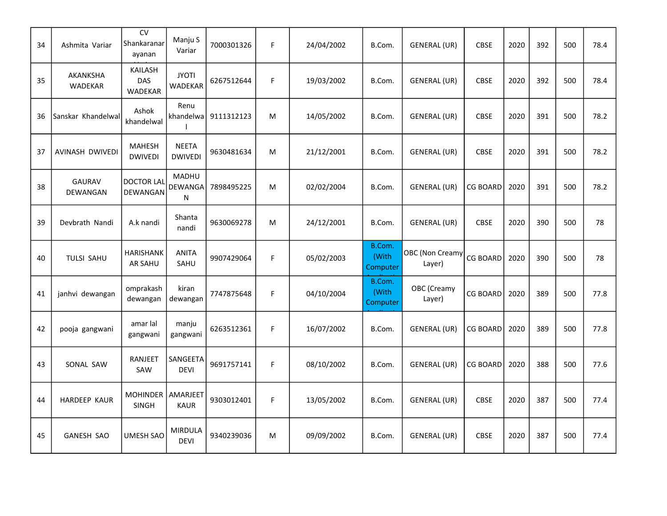| 34 | Ashmita Variar            | <b>CV</b><br>Shankaranar<br>ayanan | Manju S<br>Variar              | 7000301326 | F. | 24/04/2002 | B.Com.                      | <b>GENERAL (UR)</b>              | CBSE            | 2020 | 392 | 500 | 78.4 |
|----|---------------------------|------------------------------------|--------------------------------|------------|----|------------|-----------------------------|----------------------------------|-----------------|------|-----|-----|------|
| 35 | AKANKSHA<br>WADEKAR       | KAILASH<br>DAS<br><b>WADEKAR</b>   | <b>JYOTI</b><br><b>WADEKAR</b> | 6267512644 | F. | 19/03/2002 | B.Com.                      | <b>GENERAL (UR)</b>              | <b>CBSE</b>     | 2020 | 392 | 500 | 78.4 |
| 36 | Sanskar Khandelwal        | Ashok<br>khandelwal                | Renu<br>khandelwa              | 9111312123 | M  | 14/05/2002 | B.Com.                      | <b>GENERAL (UR)</b>              | <b>CBSE</b>     | 2020 | 391 | 500 | 78.2 |
| 37 | AVINASH DWIVEDI           | <b>MAHESH</b><br><b>DWIVEDI</b>    | <b>NEETA</b><br><b>DWIVEDI</b> | 9630481634 | M  | 21/12/2001 | B.Com.                      | <b>GENERAL (UR)</b>              | <b>CBSE</b>     | 2020 | 391 | 500 | 78.2 |
| 38 | <b>GAURAV</b><br>DEWANGAN | <b>DOCTOR LAL</b><br>DEWANGAN      | MADHU<br>DEWANGA<br>N          | 7898495225 | M  | 02/02/2004 | B.Com.                      | <b>GENERAL (UR)</b>              | <b>CG BOARD</b> | 2020 | 391 | 500 | 78.2 |
| 39 | Devbrath Nandi            | A.k nandi                          | Shanta<br>nandi                | 9630069278 | M  | 24/12/2001 | B.Com.                      | <b>GENERAL (UR)</b>              | <b>CBSE</b>     | 2020 | 390 | 500 | 78   |
| 40 | TULSI SAHU                | <b>HARISHANK</b><br>AR SAHU        | <b>ANITA</b><br>SAHU           | 9907429064 | F. | 05/02/2003 | B.Com.<br>(With<br>Computer | <b>OBC</b> (Non Creamy<br>Layer) | <b>CG BOARD</b> | 2020 | 390 | 500 | 78   |
| 41 | janhvi dewangan           | omprakash<br>dewangan              | kiran<br>dewangan              | 7747875648 | F. | 04/10/2004 | B.Com.<br>(With<br>Computer | OBC (Creamy<br>Layer)            | <b>CG BOARD</b> | 2020 | 389 | 500 | 77.8 |
| 42 | pooja gangwani            | amar lal<br>gangwani               | manju<br>gangwani              | 6263512361 | F. | 16/07/2002 | B.Com.                      | <b>GENERAL (UR)</b>              | <b>CG BOARD</b> | 2020 | 389 | 500 | 77.8 |
| 43 | SONAL SAW                 | <b>RANJEET</b><br>SAW              | SANGEETA<br><b>DEVI</b>        | 9691757141 | F. | 08/10/2002 | B.Com.                      | <b>GENERAL (UR)</b>              | <b>CG BOARD</b> | 2020 | 388 | 500 | 77.6 |
| 44 | <b>HARDEEP KAUR</b>       | <b>MOHINDER</b><br><b>SINGH</b>    | AMARJEET<br><b>KAUR</b>        | 9303012401 | F. | 13/05/2002 | B.Com.                      | <b>GENERAL (UR)</b>              | <b>CBSE</b>     | 2020 | 387 | 500 | 77.4 |
| 45 | <b>GANESH SAO</b>         | <b>UMESH SAO</b>                   | <b>MIRDULA</b>                 | 9340239036 | M  | 09/09/2002 | B.Com.                      | <b>GENERAL (UR)</b>              | <b>CBSE</b>     | 2020 | 387 | 500 | 77.4 |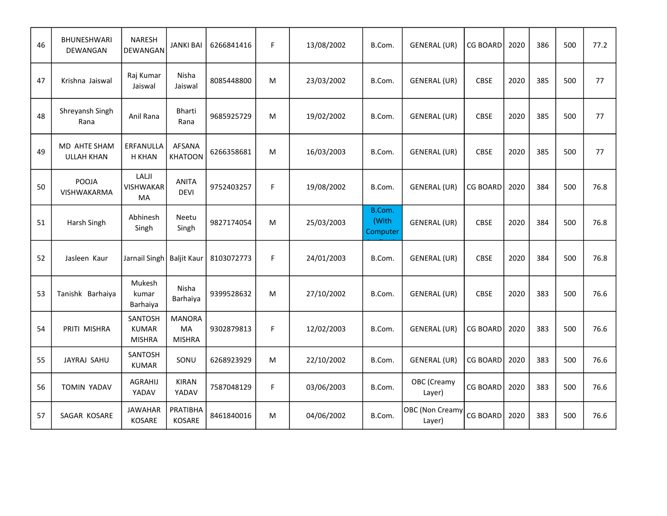| 46 | <b>BHUNESHWARI</b><br>DEWANGAN           | <b>NARESH</b><br>DEWANGAN                | JANKI BAI                            | 6266841416 | F. | 13/08/2002 | B.Com.                      | <b>GENERAL (UR)</b>              | <b>CG BOARD</b> | 2020 | 386 | 500 | 77.2 |
|----|------------------------------------------|------------------------------------------|--------------------------------------|------------|----|------------|-----------------------------|----------------------------------|-----------------|------|-----|-----|------|
| 47 | Krishna Jaiswal                          | Raj Kumar<br>Jaiswal                     | Nisha<br>Jaiswal                     | 8085448800 | M  | 23/03/2002 | B.Com.                      | <b>GENERAL (UR)</b>              | <b>CBSE</b>     | 2020 | 385 | 500 | 77   |
| 48 | Shreyansh Singh<br>Rana                  | Anil Rana                                | Bharti<br>Rana                       | 9685925729 | M  | 19/02/2002 | B.Com.                      | <b>GENERAL (UR)</b>              | CBSE            | 2020 | 385 | 500 | 77   |
| 49 | <b>MD AHTE SHAM</b><br><b>ULLAH KHAN</b> | ERFANULLA<br><b>H KHAN</b>               | <b>AFSANA</b><br><b>KHATOON</b>      | 6266358681 | M  | 16/03/2003 | B.Com.                      | GENERAL (UR)                     | <b>CBSE</b>     | 2020 | 385 | 500 | 77   |
| 50 | POOJA<br>VISHWAKARMA                     | LALJI<br><b>VISHWAKAR</b><br>МA          | <b>ANITA</b><br><b>DEVI</b>          | 9752403257 | F. | 19/08/2002 | B.Com.                      | <b>GENERAL (UR)</b>              | <b>CG BOARD</b> | 2020 | 384 | 500 | 76.8 |
| 51 | Harsh Singh                              | Abhinesh<br>Singh                        | Neetu<br>Singh                       | 9827174054 | M  | 25/03/2003 | B.Com.<br>(With<br>Computer | <b>GENERAL (UR)</b>              | CBSE            | 2020 | 384 | 500 | 76.8 |
| 52 | Jasleen Kaur                             | Jarnail Singh   Baljit Kaur              |                                      | 8103072773 | F. | 24/01/2003 | B.Com.                      | <b>GENERAL (UR)</b>              | <b>CBSE</b>     | 2020 | 384 | 500 | 76.8 |
| 53 | Tanishk Barhaiya                         | Mukesh<br>kumar<br>Barhaiya              | Nisha<br>Barhaiya                    | 9399528632 | M  | 27/10/2002 | B.Com.                      | <b>GENERAL (UR)</b>              | CBSE            | 2020 | 383 | 500 | 76.6 |
| 54 | PRITI MISHRA                             | SANTOSH<br><b>KUMAR</b><br><b>MISHRA</b> | <b>MANORA</b><br>MA<br><b>MISHRA</b> | 9302879813 | F  | 12/02/2003 | B.Com.                      | <b>GENERAL (UR)</b>              | <b>CG BOARD</b> | 2020 | 383 | 500 | 76.6 |
| 55 | JAYRAJ SAHU                              | SANTOSH<br><b>KUMAR</b>                  | SONU                                 | 6268923929 | M  | 22/10/2002 | B.Com.                      | <b>GENERAL (UR)</b>              | <b>CG BOARD</b> | 2020 | 383 | 500 | 76.6 |
| 56 | <b>TOMIN YADAV</b>                       | <b>AGRAHIJ</b><br>YADAV                  | <b>KIRAN</b><br>YADAV                | 7587048129 | F. | 03/06/2003 | B.Com.                      | OBC (Creamy<br>Layer)            | <b>CG BOARD</b> | 2020 | 383 | 500 | 76.6 |
| 57 | SAGAR KOSARE                             | <b>JAWAHAR</b><br><b>KOSARE</b>          | PRATIBHA<br>KOSARE                   | 8461840016 | M  | 04/06/2002 | B.Com.                      | <b>OBC</b> (Non Creamy<br>Layer) | <b>CG BOARD</b> | 2020 | 383 | 500 | 76.6 |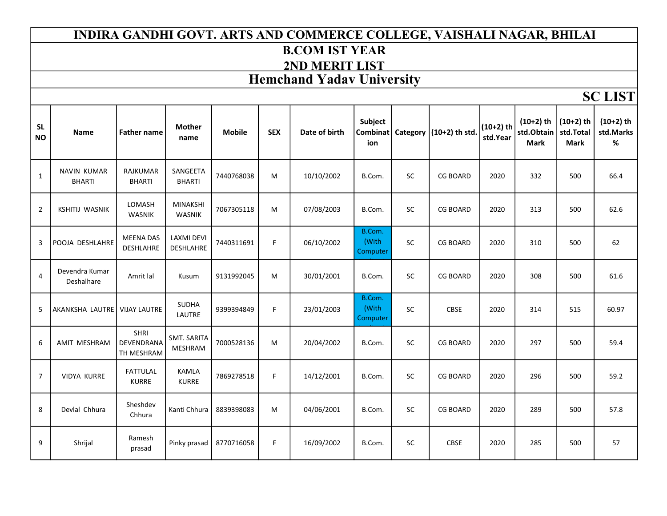#### INDIRA GANDHI GOVT. ARTS AND COMMERCE COLLEGE, VAISHALI NAGAR, BHILAI B.COM IST YEAR 2ND MERIT LIST Hemchand Yadav University

SC LIST

| <b>SL</b><br><b>NO</b> | <b>Name</b>                         | <b>Father name</b>               | <b>Mother</b><br>name            | <b>Mobile</b> | <b>SEX</b> | Date of birth | Subject<br>ion              |           | Combinat   Category   (10+2) th std. | $(10+2)$ th<br>std.Year | $(10+2)$ th<br>std.Obtain<br><b>Mark</b> | $(10+2)$ th<br>std.Total<br><b>Mark</b> | $(10+2)$ th<br>std.Marks<br>% |
|------------------------|-------------------------------------|----------------------------------|----------------------------------|---------------|------------|---------------|-----------------------------|-----------|--------------------------------------|-------------------------|------------------------------------------|-----------------------------------------|-------------------------------|
| $\mathbf{1}$           | <b>NAVIN KUMAR</b><br><b>BHARTI</b> | <b>RAJKUMAR</b><br><b>BHARTI</b> | SANGEETA<br><b>BHARTI</b>        | 7440768038    | M          | 10/10/2002    | B.Com.                      | <b>SC</b> | <b>CG BOARD</b>                      | 2020                    | 332                                      | 500                                     | 66.4                          |
| $\overline{2}$         | <b>KSHITIJ WASNIK</b>               | LOMASH<br><b>WASNIK</b>          | <b>MINAKSHI</b><br><b>WASNIK</b> | 7067305118    | M          | 07/08/2003    | B.Com.                      | <b>SC</b> | <b>CG BOARD</b>                      | 2020                    | 313                                      | 500                                     | 62.6                          |
| 3                      | POOJA DESHLAHRE                     | <b>MEENA DAS</b><br>DESHLAHRE    | <b>LAXMI DEVI</b><br>DESHLAHRE   | 7440311691    | F.         | 06/10/2002    | B.Com.<br>(With<br>Computer | <b>SC</b> | <b>CG BOARD</b>                      | 2020                    | 310                                      | 500                                     | 62                            |
| $\overline{4}$         | Devendra Kumar<br>Deshalhare        | Amrit lal                        | Kusum                            | 9131992045    | M          | 30/01/2001    | B.Com.                      | <b>SC</b> | <b>CG BOARD</b>                      | 2020                    | 308                                      | 500                                     | 61.6                          |
| 5                      | AKANKSHA LAUTRE                     | <b>VIJAY LAUTRE</b>              | <b>SUDHA</b><br>LAUTRE           | 9399394849    | F.         | 23/01/2003    | B.Com.<br>(With<br>Computer | <b>SC</b> | <b>CBSE</b>                          | 2020                    | 314                                      | 515                                     | 60.97                         |
| 6                      | AMIT MESHRAM                        | SHRI<br>DEVENDRANA<br>TH MESHRAM | <b>SMT. SARITA</b><br>MESHRAM    | 7000528136    | M          | 20/04/2002    | B.Com.                      | <b>SC</b> | <b>CG BOARD</b>                      | 2020                    | 297                                      | 500                                     | 59.4                          |
| $\overline{7}$         | VIDYA KURRE                         | <b>FATTULAL</b><br><b>KURRE</b>  | <b>KAMLA</b><br><b>KURRE</b>     | 7869278518    | F.         | 14/12/2001    | B.Com.                      | <b>SC</b> | <b>CG BOARD</b>                      | 2020                    | 296                                      | 500                                     | 59.2                          |
| 8                      | Devlal Chhura                       | Sheshdev<br>Chhura               | Kanti Chhura                     | 8839398083    | M          | 04/06/2001    | B.Com.                      | <b>SC</b> | <b>CG BOARD</b>                      | 2020                    | 289                                      | 500                                     | 57.8                          |
| 9                      | Shrijal                             | Ramesh<br>prasad                 | Pinky prasad                     | 8770716058    | F.         | 16/09/2002    | B.Com.                      | <b>SC</b> | <b>CBSE</b>                          | 2020                    | 285                                      | 500                                     | 57                            |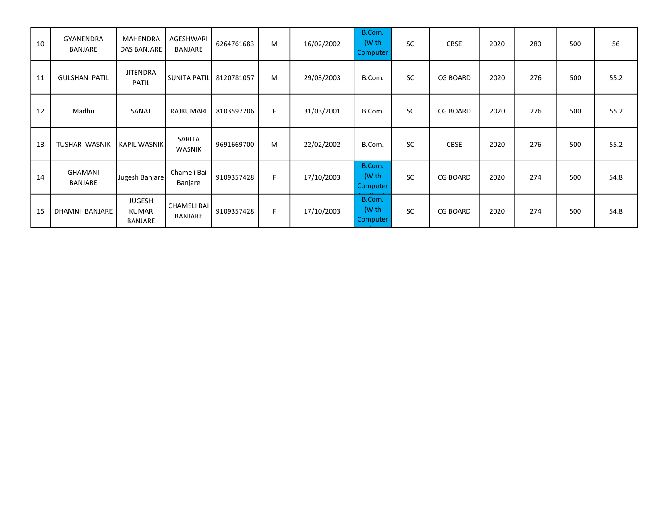| 10 | <b>GYANENDRA</b><br>BANJARE      | <b>MAHENDRA</b><br>DAS BANJARE           | AGESHWARI<br>BANJARE          | 6264761683 | M  | 16/02/2002 | B.Com.<br>(With<br>Computer | <b>SC</b> | <b>CBSE</b>     | 2020 | 280 | 500 | 56   |
|----|----------------------------------|------------------------------------------|-------------------------------|------------|----|------------|-----------------------------|-----------|-----------------|------|-----|-----|------|
| 11 | <b>GULSHAN PATIL</b>             | <b>JITENDRA</b><br><b>PATIL</b>          | <b>SUNITA PATIL</b>           | 8120781057 | M  | 29/03/2003 | B.Com.                      | <b>SC</b> | <b>CG BOARD</b> | 2020 | 276 | 500 | 55.2 |
| 12 | Madhu                            | SANAT                                    | RAJKUMARI                     | 8103597206 | F. | 31/03/2001 | B.Com.                      | <b>SC</b> | <b>CG BOARD</b> | 2020 | 276 | 500 | 55.2 |
| 13 | <b>TUSHAR WASNIK</b>             | <b>KAPIL WASNIK</b>                      | SARITA<br><b>WASNIK</b>       | 9691669700 | M  | 22/02/2002 | B.Com.                      | <b>SC</b> | <b>CBSE</b>     | 2020 | 276 | 500 | 55.2 |
| 14 | <b>GHAMANI</b><br><b>BANJARE</b> | Jugesh Banjare                           | Chameli Bai<br>Banjare        | 9109357428 | F. | 17/10/2003 | B.Com.<br>(With<br>Computer | <b>SC</b> | <b>CG BOARD</b> | 2020 | 274 | 500 | 54.8 |
| 15 | DHAMNI BANJARE                   | <b>JUGESH</b><br><b>KUMAR</b><br>BANJARE | <b>CHAMELI BAI</b><br>BANJARE | 9109357428 | F  | 17/10/2003 | B.Com.<br>(With<br>Computer | <b>SC</b> | <b>CG BOARD</b> | 2020 | 274 | 500 | 54.8 |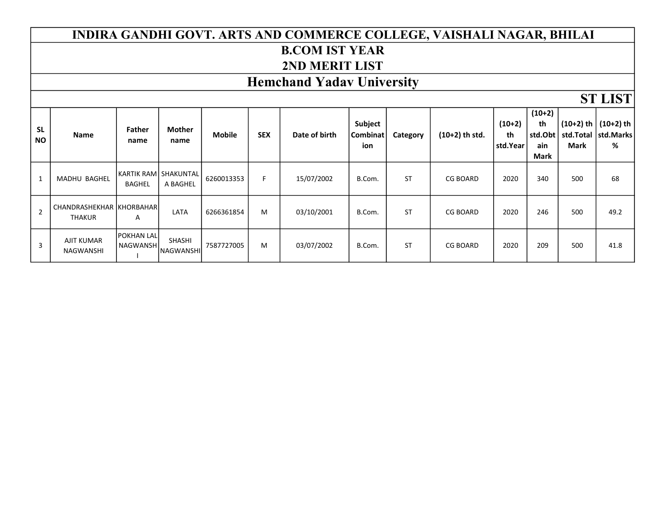#### INDIRA GANDHI GOVT. ARTS AND COMMERCE COLLEGE, VAISHALI NAGAR, BHILAI B.COM IST YEAR 2ND MERIT LIST

### Hemchand Yadav University

|                        |                                           |                               |                                   |               |            |               |                                   |           |                  |                            |                                          |                            | $91$ LID I                                |
|------------------------|-------------------------------------------|-------------------------------|-----------------------------------|---------------|------------|---------------|-----------------------------------|-----------|------------------|----------------------------|------------------------------------------|----------------------------|-------------------------------------------|
| <b>SL</b><br><b>NO</b> | Name                                      | <b>Father</b><br>name         | <b>Mother</b><br>name             | <b>Mobile</b> | <b>SEX</b> | Date of birth | <b>Subject</b><br>Combinat<br>ion | Category  | $(10+2)$ th std. | $(10+2)$<br>th<br>std.Year | $(10+2)$<br>th<br>std.Obt<br>ain<br>Mark | $(10+2)$ th<br><b>Mark</b> | (10+2) th<br>std.Total   std.Marks  <br>% |
| 1                      | <b>MADHU BAGHEL</b>                       | <b>BAGHEL</b>                 | KARTIK RAM SHAKUNTAL<br>A BAGHEL  | 6260013353    | F.         | 15/07/2002    | B.Com.                            | <b>ST</b> | <b>CG BOARD</b>  | 2020                       | 340                                      | 500                        | 68                                        |
| $\overline{2}$         | CHANDRASHEKHAR KHORBAHAR<br><b>THAKUR</b> | A                             | LATA                              | 6266361854    | M          | 03/10/2001    | B.Com.                            | <b>ST</b> | <b>CG BOARD</b>  | 2020                       | 246                                      | 500                        | 49.2                                      |
| 3                      | <b>AJIT KUMAR</b><br>NAGWANSHI            | <b>POKHAN LAL</b><br>NAGWANSH | <b>SHASHI</b><br><b>NAGWANSHI</b> | 7587727005    | M          | 03/07/2002    | B.Com.                            | <b>ST</b> | <b>CG BOARD</b>  | 2020                       | 209                                      | 500                        | 41.8                                      |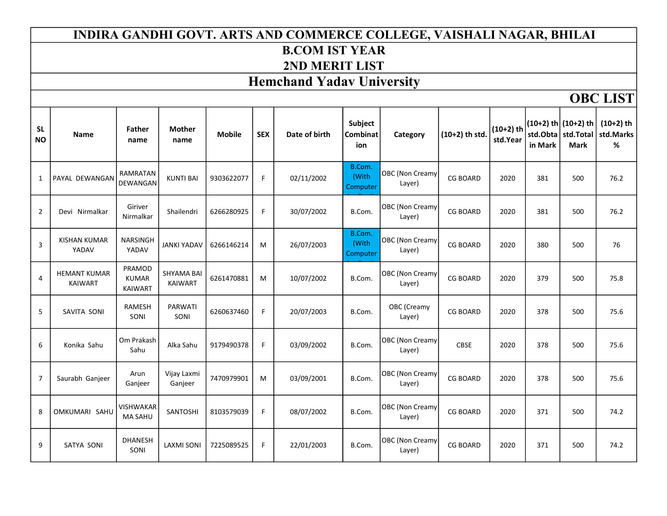## INDIRA GANDHI GOVT. ARTS AND COMMERCE COLLEGE, VAISHALI NAGAR, BHILAI B.COM IST YEAR 2ND MERIT LIST

# Hemchand Yadav University

OBC LIST

| <b>SL</b><br><b>NO</b> | <b>Name</b>                           | <b>Father</b><br>name                    | <b>Mother</b><br>name               | <b>Mobile</b> | <b>SEX</b> | Date of birth | Subject<br>Combinat<br>ion  | Category                         | $(10+2)$ th std. | $(10+2)$ th<br>std.Year | in Mark | $(10+2)$ th $(10+2)$ th<br>std.Obta   std.Total<br><b>Mark</b> | $(10+2)$ th<br>std.Marks<br>$\%$ |
|------------------------|---------------------------------------|------------------------------------------|-------------------------------------|---------------|------------|---------------|-----------------------------|----------------------------------|------------------|-------------------------|---------|----------------------------------------------------------------|----------------------------------|
| $\mathbf{1}$           | PAYAL DEWANGAN                        | <b>RAMRATAN</b><br><b>DEWANGAN</b>       | <b>KUNTI BAI</b>                    | 9303622077    | F          | 02/11/2002    | B.Com.<br>(With<br>Computer | <b>OBC</b> (Non Creamy<br>Layer) | <b>CG BOARD</b>  | 2020                    | 381     | 500                                                            | 76.2                             |
| $\overline{2}$         | Devi Nirmalkar                        | Giriver<br>Nirmalkar                     | Shailendri                          | 6266280925    | F          | 30/07/2002    | B.Com.                      | OBC (Non Creamy<br>Layer)        | <b>CG BOARD</b>  | 2020                    | 381     | 500                                                            | 76.2                             |
| 3                      | <b>KISHAN KUMAR</b><br>YADAV          | <b>NARSINGH</b><br>YADAV                 | <b>JANKI YADAV</b>                  | 6266146214    | M          | 26/07/2003    | B.Com.<br>(With<br>Computer | <b>OBC</b> (Non Creamy<br>Layer) | <b>CG BOARD</b>  | 2020                    | 380     | 500                                                            | 76                               |
| $\overline{4}$         | <b>HEMANT KUMAR</b><br><b>KAIWART</b> | PRAMOD<br><b>KUMAR</b><br><b>KAIWART</b> | <b>SHYAMA BAI</b><br><b>KAIWART</b> | 6261470881    | M          | 10/07/2002    | B.Com.                      | <b>OBC</b> (Non Creamy<br>Layer) | <b>CG BOARD</b>  | 2020                    | 379     | 500                                                            | 75.8                             |
| 5                      | SAVITA SONI                           | RAMESH<br>SONI                           | PARWATI<br>SONI                     | 6260637460    | F          | 20/07/2003    | B.Com.                      | OBC (Creamy<br>Layer)            | <b>CG BOARD</b>  | 2020                    | 378     | 500                                                            | 75.6                             |
| 6                      | Konika Sahu                           | Om Prakash<br>Sahu                       | Alka Sahu                           | 9179490378    | F          | 03/09/2002    | B.Com.                      | <b>OBC</b> (Non Creamy<br>Layer) | <b>CBSE</b>      | 2020                    | 378     | 500                                                            | 75.6                             |
| $\overline{7}$         | Saurabh Ganjeer                       | Arun<br>Ganjeer                          | Vijay Laxmi<br>Ganjeer              | 7470979901    | M          | 03/09/2001    | B.Com.                      | <b>OBC</b> (Non Creamy<br>Layer) | <b>CG BOARD</b>  | 2020                    | 378     | 500                                                            | 75.6                             |
| 8                      | OMKUMARI SAHU                         | <b>VISHWAKAR</b><br><b>MA SAHU</b>       | SANTOSHI                            | 8103579039    | F          | 08/07/2002    | B.Com.                      | <b>OBC</b> (Non Creamy<br>Layer) | <b>CG BOARD</b>  | 2020                    | 371     | 500                                                            | 74.2                             |
| 9                      | <b>SATYA SONI</b>                     | <b>DHANESH</b><br>SONI                   | <b>LAXMI SONI</b>                   | 7225089525    | F          | 22/01/2003    | B.Com.                      | <b>OBC</b> (Non Creamy<br>Layer) | <b>CG BOARD</b>  | 2020                    | 371     | 500                                                            | 74.2                             |